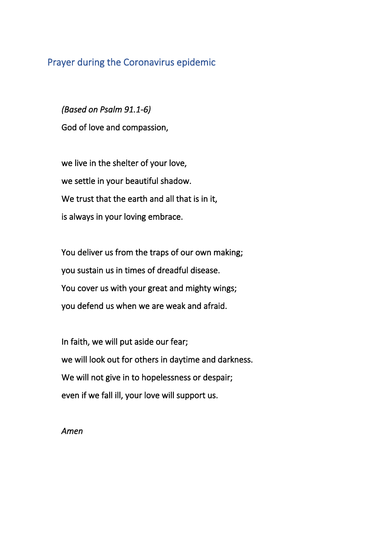## Prayer during the Coronavirus epidemic

*(Based on Psalm 91.1-6)*  God of love and compassion,

we live in the shelter of your love, we settle in your beautiful shadow. We trust that the earth and all that is in it, is always in your loving embrace.

You deliver us from the traps of our own making; you sustain us in times of dreadful disease. You cover us with your great and mighty wings; you defend us when we are weak and afraid.

In faith, we will put aside our fear; we will look out for others in daytime and darkness. We will not give in to hopelessness or despair; even if we fall ill, your love will support us.

*Amen*